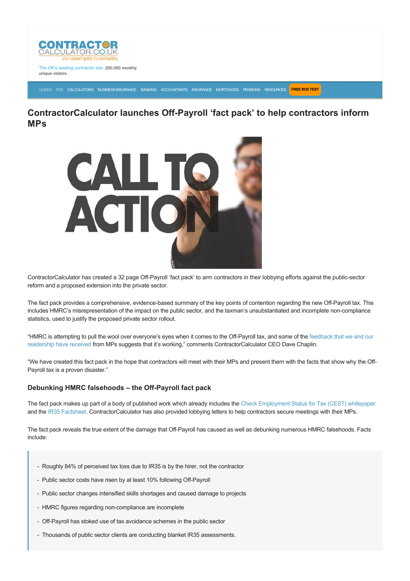

The UK's leading contractor site. 200,000 monthly unique visitors.

[GUIDES](https://www.contractorcalculator.co.uk/articles.aspx) [IR35](https://www.contractorcalculator.co.uk/ir35.aspx) [CALCULATORS](https://www.contractorcalculator.co.uk/calculators.aspx) [BUSINESS INSURANCE](https://www.contractorcalculator.co.uk/contractor_insurances.aspx) [BANKING](https://www.contractorcalculator.co.uk/contractor_banking.aspx) [ACCOUNTANTS](https://www.contractorcalculator.co.uk/contractor_accountant_services.aspx) [INSURANCE](https://www.contractorcalculator.co.uk/insurance.aspx) [MORTGAGES](https://www.contractorcalculator.co.uk/contractor_mortgages.aspx) [PENSIONS](https://www.contractorcalculator.co.uk/contractor_pensions.aspx) [RESOURCES](https://www.contractorcalculator.co.uk/contractor_resources.aspx) **[FREE IR35 TEST](https://www.ir35testing.co.uk/TakeTheTest)**

## **ContractorCalculator launches Off-Payroll 'fact pack' to help contractors inform MPs**



ContractorCalculator has created a 32 page Off-Payroll 'fact pack' to arm contractors in their lobbying efforts against the public-sector reform and a proposed extension into the private sector.

The fact pack provides a comprehensive, evidence-based summary of the key points of contention regarding the new Off-Payroll tax. This includes HMRC's misrepresentation of the impact on the public sector, and the taxman's unsubstantiated and incomplete noncompliance statistics, used to justify the proposed private sector rollout.

"HMRC is attempting to pull the wool over everyone's eyes when it comes to the Off-Payroll tax, and some of the feedback that we and our readership have received from MPs suggests that it's working," comments ContractorCalculator CEO Dave Chaplin.

"We have created this fact pack in the hope that contractors will meet with their MPs and present them with the facts that show why the Off-Payroll tax is a proven disaster."

## **Debunking HMRC falsehoods - the Off-Payroll fact pack**

The fact pack makes up part of a body of published work which already includes the [Check Employment Status for Tax \(CEST\) whitepaper](https://www.contractorcalculator.co.uk/docs/20180808-CESTNotFitForPurpose-ContractorCalculatorWhitepaper.pdf) and the [IR35 Factsheet.](https://www.contractorcalculator.co.uk/docs/ContractorCalculator-IR35-OffPayroll-Factsheet.pdf) ContractorCalculator has also provided lobbying letters to help contractors secure meetings with their MPs.

The fact pack reveals the true extent of the damage that Off-Payroll has caused as well as debunking numerous HMRC falsehoods. Facts include:

- Roughly 84% of perceived tax loss due to IR35 is by the hirer, not the contractor
- Public sector costs have risen by at least 10% following Off-Payroll
- Public sector changes intensified skills shortages and caused damage to projects
- HMRC figures regarding non-compliance are incomplete
- Off-Payroll has stoked use of tax avoidance schemes in the public sector
- Thousands of public sector clients are conducting blanket IR35 assessments.